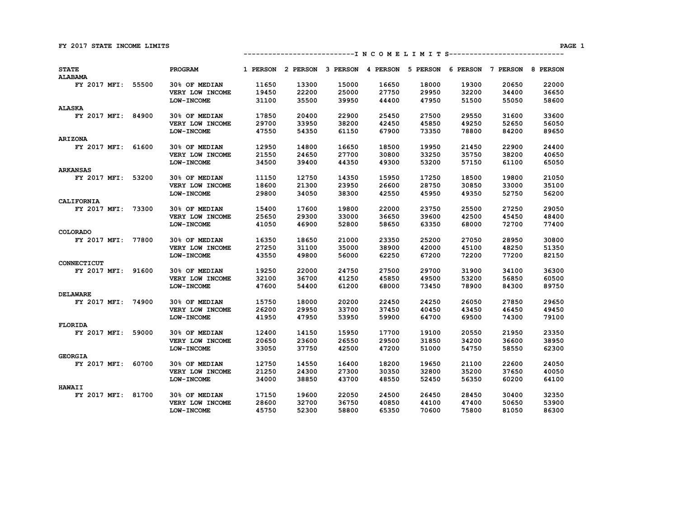**---------------------------I N C O M E L I M I T S----------------------------** 

| <b>STATE</b><br><b>ALABAMA</b> |       | PROGRAM           | 1 PERSON | 2 PERSON | 3 PERSON | 4 PERSON | 5 PERSON | 6 PERSON | 7 PERSON | 8 PERSON |
|--------------------------------|-------|-------------------|----------|----------|----------|----------|----------|----------|----------|----------|
| FY 2017 MFI:                   | 55500 | 30% OF MEDIAN     | 11650    | 13300    | 15000    | 16650    | 18000    | 19300    | 20650    | 22000    |
|                                |       | VERY LOW INCOME   | 19450    | 22200    | 25000    | 27750    | 29950    | 32200    | 34400    | 36650    |
|                                |       | LOW-INCOME        | 31100    | 35500    | 39950    | 44400    | 47950    | 51500    | 55050    | 58600    |
| ALASKA                         |       |                   |          |          |          |          |          |          |          |          |
| FY 2017 MFI:                   | 84900 | 30% OF MEDIAN     | 17850    | 20400    | 22900    | 25450    | 27500    | 29550    | 31600    | 33600    |
|                                |       | VERY LOW INCOME   | 29700    | 33950    | 38200    | 42450    | 45850    | 49250    | 52650    | 56050    |
|                                |       | LOW-INCOME        | 47550    | 54350    | 61150    | 67900    | 73350    | 78800    | 84200    | 89650    |
| <b>ARIZONA</b>                 |       |                   |          |          |          |          |          |          |          |          |
| FY 2017 MFI:                   | 61600 | 30% OF MEDIAN     | 12950    | 14800    | 16650    | 18500    | 19950    | 21450    | 22900    | 24400    |
|                                |       | VERY LOW INCOME   | 21550    | 24650    | 27700    | 30800    | 33250    | 35750    | 38200    | 40650    |
|                                |       | <b>LOW-INCOME</b> | 34500    | 39400    | 44350    | 49300    | 53200    | 57150    | 61100    | 65050    |
| <b>ARKANSAS</b>                |       |                   |          |          |          |          |          |          |          |          |
| FY 2017 MFI:                   | 53200 | 30% OF MEDIAN     | 11150    | 12750    | 14350    | 15950    | 17250    | 18500    | 19800    | 21050    |
|                                |       | VERY LOW INCOME   | 18600    | 21300    | 23950    | 26600    | 28750    | 30850    | 33000    | 35100    |
|                                |       | LOW-INCOME        | 29800    | 34050    | 38300    | 42550    | 45950    | 49350    | 52750    | 56200    |
| CALIFORNIA                     |       |                   |          |          |          |          |          |          |          |          |
| FY 2017 MFI:                   | 73300 | 30% OF MEDIAN     | 15400    | 17600    | 19800    | 22000    | 23750    | 25500    | 27250    | 29050    |
|                                |       | VERY LOW INCOME   | 25650    | 29300    | 33000    | 36650    | 39600    | 42500    | 45450    | 48400    |
|                                |       | <b>LOW-INCOME</b> | 41050    | 46900    | 52800    | 58650    | 63350    | 68000    | 72700    | 77400    |
| COLORADO                       |       |                   |          |          |          |          |          |          |          |          |
| FY 2017 MFI:                   | 77800 | 30% OF MEDIAN     | 16350    | 18650    | 21000    | 23350    | 25200    | 27050    | 28950    | 30800    |
|                                |       | VERY LOW INCOME   | 27250    | 31100    | 35000    | 38900    | 42000    | 45100    | 48250    | 51350    |
|                                |       | LOW-INCOME        | 43550    | 49800    | 56000    | 62250    | 67200    | 72200    | 77200    | 82150    |
| CONNECTICUT                    |       |                   |          |          |          |          |          |          |          |          |
| FY 2017 MFI:                   | 91600 | 30% OF MEDIAN     | 19250    | 22000    | 24750    | 27500    | 29700    | 31900    | 34100    | 36300    |
|                                |       | VERY LOW INCOME   | 32100    | 36700    | 41250    | 45850    | 49500    | 53200    | 56850    | 60500    |
|                                |       | <b>LOW-INCOME</b> | 47600    | 54400    | 61200    | 68000    | 73450    | 78900    | 84300    | 89750    |
| <b>DELAWARE</b>                |       |                   |          |          |          |          |          |          |          |          |
| FY 2017 MFI:                   | 74900 | 30% OF MEDIAN     | 15750    | 18000    | 20200    | 22450    | 24250    | 26050    | 27850    | 29650    |
|                                |       | VERY LOW INCOME   | 26200    | 29950    | 33700    | 37450    | 40450    | 43450    | 46450    | 49450    |
|                                |       | <b>LOW-INCOME</b> | 41950    | 47950    | 53950    | 59900    | 64700    | 69500    | 74300    | 79100    |
| <b>FLORIDA</b>                 |       |                   |          |          |          |          |          |          |          |          |
| FY 2017 MFI:                   | 59000 | 30% OF MEDIAN     | 12400    | 14150    | 15950    | 17700    | 19100    | 20550    | 21950    | 23350    |
|                                |       | VERY LOW INCOME   | 20650    | 23600    | 26550    | 29500    | 31850    | 34200    | 36600    | 38950    |
|                                |       | <b>LOW-INCOME</b> | 33050    | 37750    | 42500    | 47200    | 51000    | 54750    | 58550    | 62300    |
| <b>GEORGIA</b>                 |       |                   |          |          |          |          |          |          |          |          |
| FY 2017 MFI:                   | 60700 | 30% OF MEDIAN     | 12750    | 14550    | 16400    | 18200    | 19650    | 21100    | 22600    | 24050    |
|                                |       | VERY LOW INCOME   | 21250    | 24300    | 27300    | 30350    | 32800    | 35200    | 37650    | 40050    |
|                                |       | LOW-INCOME        | 34000    | 38850    | 43700    | 48550    | 52450    | 56350    | 60200    | 64100    |
| <b>HAWAII</b>                  |       |                   |          |          |          |          |          |          |          |          |
| FY 2017 MFI:                   | 81700 | 30% OF MEDIAN     | 17150    | 19600    | 22050    | 24500    | 26450    | 28450    | 30400    | 32350    |
|                                |       | VERY LOW INCOME   | 28600    | 32700    | 36750    | 40850    | 44100    | 47400    | 50650    | 53900    |
|                                |       | LOW-INCOME        | 45750    | 52300    | 58800    | 65350    | 70600    | 75800    | 81050    | 86300    |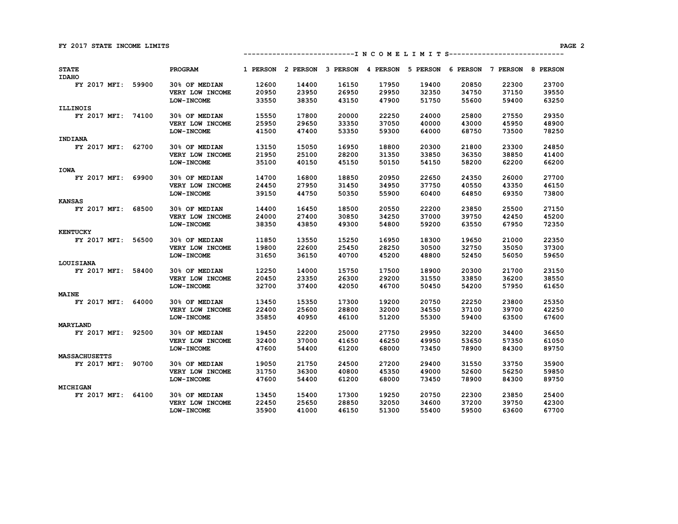| <b>STATE</b><br><b>IDAHO</b> |       | PROGRAM              | 1 PERSON | 2 PERSON | 3 PERSON | 4 PERSON | 5 PERSON | 6 PERSON | 7 PERSON | 8 PERSON |
|------------------------------|-------|----------------------|----------|----------|----------|----------|----------|----------|----------|----------|
| FY 2017 MFI:                 | 59900 | 30% OF MEDIAN        | 12600    | 14400    | 16150    | 17950    | 19400    | 20850    | 22300    | 23700    |
|                              |       | VERY LOW INCOME      | 20950    | 23950    | 26950    | 29950    | 32350    | 34750    | 37150    | 39550    |
|                              |       | LOW-INCOME           | 33550    | 38350    | 43150    | 47900    | 51750    | 55600    | 59400    | 63250    |
| <b>ILLINOIS</b>              |       |                      |          |          |          |          |          |          |          |          |
| FY 2017 MFI:                 | 74100 | 30% OF MEDIAN        | 15550    | 17800    | 20000    | 22250    | 24000    | 25800    | 27550    | 29350    |
|                              |       | VERY LOW INCOME      | 25950    | 29650    | 33350    | 37050    | 40000    | 43000    | 45950    | 48900    |
|                              |       | <b>LOW-INCOME</b>    | 41500    | 47400    | 53350    | 59300    | 64000    | 68750    | 73500    | 78250    |
| INDIANA                      |       |                      |          |          |          |          |          |          |          |          |
| FY 2017 MFI:                 | 62700 | 30% OF MEDIAN        | 13150    | 15050    | 16950    | 18800    | 20300    | 21800    | 23300    | 24850    |
|                              |       | VERY LOW INCOME      | 21950    | 25100    | 28200    | 31350    | 33850    | 36350    | 38850    | 41400    |
|                              |       | <b>LOW-INCOME</b>    | 35100    | 40150    | 45150    | 50150    | 54150    | 58200    | 62200    | 66200    |
| <b>IOWA</b>                  |       |                      |          |          |          |          |          |          |          |          |
| FY 2017 MFI:                 | 69900 | <b>30% OF MEDIAN</b> | 14700    | 16800    | 18850    | 20950    | 22650    | 24350    | 26000    | 27700    |
|                              |       | VERY LOW INCOME      | 24450    | 27950    | 31450    | 34950    | 37750    | 40550    | 43350    | 46150    |
|                              |       | LOW-INCOME           | 39150    | 44750    | 50350    | 55900    | 60400    | 64850    | 69350    | 73800    |
| <b>KANSAS</b>                |       |                      |          |          |          |          |          |          |          |          |
| FY 2017 MFI:                 | 68500 | 30% OF MEDIAN        | 14400    | 16450    | 18500    | 20550    | 22200    | 23850    | 25500    | 27150    |
|                              |       | VERY LOW INCOME      | 24000    | 27400    | 30850    | 34250    | 37000    | 39750    | 42450    | 45200    |
|                              |       | <b>LOW-INCOME</b>    | 38350    | 43850    | 49300    | 54800    | 59200    | 63550    | 67950    | 72350    |
| <b>KENTUCKY</b>              |       |                      |          |          |          |          |          |          |          |          |
| FY 2017 MFI:                 | 56500 | 30% OF MEDIAN        | 11850    | 13550    | 15250    | 16950    | 18300    | 19650    | 21000    | 22350    |
|                              |       | VERY LOW INCOME      | 19800    | 22600    | 25450    | 28250    | 30500    | 32750    | 35050    | 37300    |
|                              |       | <b>LOW-INCOME</b>    | 31650    | 36150    | 40700    | 45200    | 48800    | 52450    | 56050    | 59650    |
| LOUISIANA                    |       |                      |          |          |          |          |          |          |          |          |
| FY 2017 MFI:                 | 58400 | 30% OF MEDIAN        | 12250    | 14000    | 15750    | 17500    | 18900    | 20300    | 21700    | 23150    |
|                              |       | VERY LOW INCOME      | 20450    | 23350    | 26300    | 29200    | 31550    | 33850    | 36200    | 38550    |
|                              |       | LOW-INCOME           | 32700    | 37400    | 42050    | 46700    | 50450    | 54200    | 57950    | 61650    |
| <b>MAINE</b>                 |       |                      |          |          |          |          |          |          |          |          |
| FY 2017 MFI:                 | 64000 | 30% OF MEDIAN        | 13450    | 15350    | 17300    | 19200    | 20750    | 22250    | 23800    | 25350    |
|                              |       | VERY LOW INCOME      | 22400    | 25600    | 28800    | 32000    | 34550    | 37100    | 39700    | 42250    |
|                              |       | LOW-INCOME           | 35850    | 40950    | 46100    | 51200    | 55300    | 59400    | 63500    | 67600    |
| MARYLAND                     |       |                      |          |          |          |          |          |          |          |          |
| FY 2017 MFI:                 | 92500 | 30% OF MEDIAN        | 19450    | 22200    | 25000    | 27750    | 29950    | 32200    | 34400    | 36650    |
|                              |       | VERY LOW INCOME      | 32400    | 37000    | 41650    | 46250    | 49950    | 53650    | 57350    | 61050    |
|                              |       | <b>LOW-INCOME</b>    | 47600    | 54400    | 61200    | 68000    | 73450    | 78900    | 84300    | 89750    |
| <b>MASSACHUSETTS</b>         |       |                      |          |          |          |          |          |          |          |          |
| FY 2017 MFI:                 | 90700 | 30% OF MEDIAN        | 19050    | 21750    | 24500    | 27200    | 29400    | 31550    | 33750    | 35900    |
|                              |       | VERY LOW INCOME      | 31750    | 36300    | 40800    | 45350    | 49000    | 52600    | 56250    | 59850    |
|                              |       | LOW-INCOME           | 47600    | 54400    | 61200    | 68000    | 73450    | 78900    | 84300    | 89750    |
| MICHIGAN<br>FY 2017 MFI:     |       | 30% OF MEDIAN        | 13450    | 15400    | 17300    | 19250    | 20750    | 22300    | 23850    | 25400    |
|                              | 64100 | VERY LOW INCOME      | 22450    | 25650    | 28850    | 32050    | 34600    | 37200    | 39750    | 42300    |
|                              |       | <b>LOW-INCOME</b>    | 35900    | 41000    | 46150    | 51300    | 55400    | 59500    | 63600    | 67700    |
|                              |       |                      |          |          |          |          |          |          |          |          |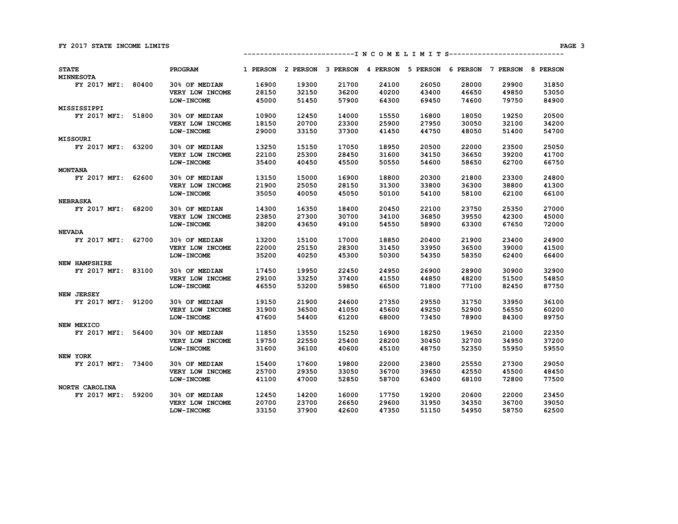**---------------------------I N C O M E L I M I T S----------------------------** 

| <b>STATE</b><br><b>MINNESOTA</b> |       | PROGRAM           | 1 PERSON | 2 PERSON | 3 PERSON | 4 PERSON | 5 PERSON | 6 PERSON | 7 PERSON | 8 PERSON |
|----------------------------------|-------|-------------------|----------|----------|----------|----------|----------|----------|----------|----------|
| FY 2017 MFI:                     | 80400 | 30% OF MEDIAN     | 16900    | 19300    | 21700    | 24100    | 26050    | 28000    | 29900    | 31850    |
|                                  |       | VERY LOW INCOME   | 28150    | 32150    | 36200    | 40200    | 43400    | 46650    | 49850    | 53050    |
|                                  |       | <b>LOW-INCOME</b> | 45000    | 51450    | 57900    | 64300    | 69450    | 74600    | 79750    | 84900    |
| MISSISSIPPI                      |       |                   |          |          |          |          |          |          |          |          |
| FY 2017 MFI:                     | 51800 | 30% OF MEDIAN     | 10900    | 12450    | 14000    | 15550    | 16800    | 18050    | 19250    | 20500    |
|                                  |       | VERY LOW INCOME   | 18150    | 20700    | 23300    | 25900    | 27950    | 30050    | 32100    | 34200    |
|                                  |       | LOW-INCOME        | 29000    | 33150    | 37300    | 41450    | 44750    | 48050    | 51400    | 54700    |
| <b>MISSOURI</b>                  |       |                   |          |          |          |          |          |          |          |          |
| FY 2017 MFI:                     | 63200 | 30% OF MEDIAN     | 13250    | 15150    | 17050    | 18950    | 20500    | 22000    | 23500    | 25050    |
|                                  |       | VERY LOW INCOME   | 22100    | 25300    | 28450    | 31600    | 34150    | 36650    | 39200    | 41700    |
|                                  |       | <b>LOW-INCOME</b> | 35400    | 40450    | 45500    | 50550    | 54600    | 58650    | 62700    | 66750    |
| <b>MONTANA</b>                   |       |                   |          |          |          |          |          |          |          |          |
| FY 2017 MFI:                     | 62600 | 30% OF MEDIAN     | 13150    | 15000    | 16900    | 18800    | 20300    | 21800    | 23300    | 24800    |
|                                  |       | VERY LOW INCOME   | 21900    | 25050    | 28150    | 31300    | 33800    | 36300    | 38800    | 41300    |
|                                  |       | LOW-INCOME        | 35050    | 40050    | 45050    | 50100    | 54100    | 58100    | 62100    | 66100    |
| <b>NEBRASKA</b>                  |       |                   |          |          |          |          |          |          |          |          |
| FY 2017 MFI:                     | 68200 | 30% OF MEDIAN     | 14300    | 16350    | 18400    | 20450    | 22100    | 23750    | 25350    | 27000    |
|                                  |       | VERY LOW INCOME   | 23850    | 27300    | 30700    | 34100    | 36850    | 39550    | 42300    | 45000    |
|                                  |       | <b>LOW-INCOME</b> | 38200    | 43650    | 49100    | 54550    | 58900    | 63300    | 67650    | 72000    |
| <b>NEVADA</b>                    |       |                   |          |          |          |          |          |          |          |          |
| FY 2017 MFI:                     | 62700 | 30% OF MEDIAN     | 13200    | 15100    | 17000    | 18850    | 20400    | 21900    | 23400    | 24900    |
|                                  |       | VERY LOW INCOME   | 22000    | 25150    | 28300    | 31450    | 33950    | 36500    | 39000    | 41500    |
|                                  |       | <b>LOW-INCOME</b> | 35200    | 40250    | 45300    | 50300    | 54350    | 58350    | 62400    | 66400    |
| <b>NEW HAMPSHIRE</b>             |       |                   |          |          |          |          |          |          |          |          |
| FY 2017 MFI:                     | 83100 | 30% OF MEDIAN     | 17450    | 19950    | 22450    | 24950    | 26900    | 28900    | 30900    | 32900    |
|                                  |       | VERY LOW INCOME   | 29100    | 33250    | 37400    | 41550    | 44850    | 48200    | 51500    | 54850    |
|                                  |       | <b>LOW-INCOME</b> | 46550    | 53200    | 59850    | 66500    | 71800    | 77100    | 82450    | 87750    |
| <b>NEW JERSEY</b>                |       |                   |          |          |          |          |          |          |          |          |
| FY 2017 MFI:                     | 91200 | 30% OF MEDIAN     | 19150    | 21900    | 24600    | 27350    | 29550    | 31750    | 33950    | 36100    |
|                                  |       | VERY LOW INCOME   | 31900    | 36500    | 41050    | 45600    | 49250    | 52900    | 56550    | 60200    |
|                                  |       | <b>LOW-INCOME</b> | 47600    | 54400    | 61200    | 68000    | 73450    | 78900    | 84300    | 89750    |
| NEW MEXICO                       |       |                   |          |          |          |          |          |          |          |          |
| FY 2017 MFI:                     | 56400 | 30% OF MEDIAN     | 11850    | 13550    | 15250    | 16900    | 18250    | 19650    | 21000    | 22350    |
|                                  |       | VERY LOW INCOME   | 19750    | 22550    | 25400    | 28200    | 30450    | 32700    | 34950    | 37200    |
|                                  |       | <b>LOW-INCOME</b> | 31600    | 36100    | 40600    | 45100    | 48750    | 52350    | 55950    | 59550    |
| NEW YORK                         |       |                   |          |          |          |          |          |          |          |          |
| FY 2017 MFI:                     | 73400 | 30% OF MEDIAN     | 15400    | 17600    | 19800    | 22000    | 23800    | 25550    | 27300    | 29050    |
|                                  |       | VERY LOW INCOME   | 25700    | 29350    | 33050    | 36700    | 39650    | 42550    | 45500    | 48450    |
|                                  |       | <b>LOW-INCOME</b> | 41100    | 47000    | 52850    | 58700    | 63400    | 68100    | 72800    | 77500    |
| NORTH CAROLINA                   |       |                   |          |          |          |          |          |          |          |          |
| FY 2017 MFI:                     | 59200 | 30% OF MEDIAN     | 12450    | 14200    | 16000    | 17750    | 19200    | 20600    | 22000    | 23450    |
|                                  |       | VERY LOW INCOME   | 20700    | 23700    | 26650    | 29600    | 31950    | 34350    | 36700    | 39050    |
|                                  |       | LOW-INCOME        | 33150    | 37900    | 42600    | 47350    | 51150    | 54950    | 58750    | 62500    |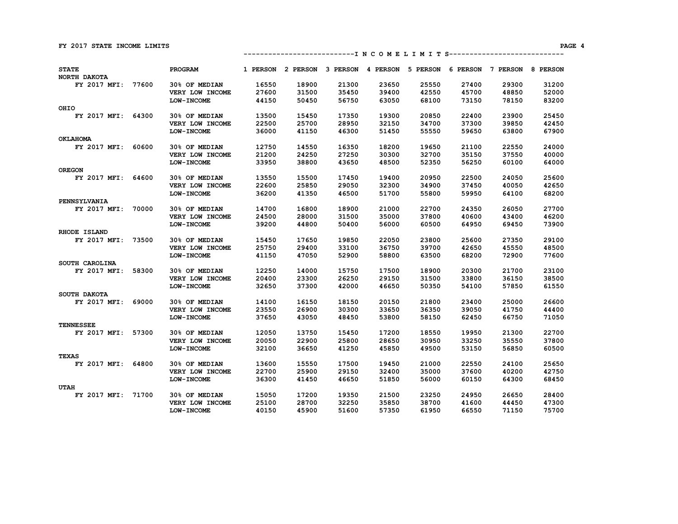|  | ------------------------------- I N C O M E L I M I T S--------------------------- |  |
|--|------------------------------------------------------------------------------------|--|
|--|------------------------------------------------------------------------------------|--|

| <b>STATE</b><br>NORTH DAKOTA |       | PROGRAM           | 1 PERSON | 2 PERSON | 3 PERSON | 4 PERSON | 5 PERSON | 6 PERSON | 7 PERSON | 8 PERSON |
|------------------------------|-------|-------------------|----------|----------|----------|----------|----------|----------|----------|----------|
| FY 2017 MFI: 77600           |       | 30% OF MEDIAN     | 16550    | 18900    | 21300    | 23650    | 25550    | 27400    | 29300    | 31200    |
|                              |       | VERY LOW INCOME   | 27600    | 31500    | 35450    | 39400    | 42550    | 45700    | 48850    | 52000    |
|                              |       | <b>LOW-INCOME</b> | 44150    | 50450    | 56750    | 63050    | 68100    | 73150    | 78150    | 83200    |
| OHIO                         |       |                   |          |          |          |          |          |          |          |          |
| FY 2017 MFI: 64300           |       | 30% OF MEDIAN     | 13500    | 15450    | 17350    | 19300    | 20850    | 22400    | 23900    | 25450    |
|                              |       | VERY LOW INCOME   | 22500    | 25700    | 28950    | 32150    | 34700    | 37300    | 39850    | 42450    |
|                              |       | <b>LOW-INCOME</b> | 36000    | 41150    | 46300    | 51450    | 55550    | 59650    | 63800    | 67900    |
| <b>OKLAHOMA</b>              |       |                   |          |          |          |          |          |          |          |          |
| FY 2017 MFI:                 | 60600 | 30% OF MEDIAN     | 12750    | 14550    | 16350    | 18200    | 19650    | 21100    | 22550    | 24000    |
|                              |       | VERY LOW INCOME   | 21200    | 24250    | 27250    | 30300    | 32700    | 35150    | 37550    | 40000    |
|                              |       | LOW-INCOME        | 33950    | 38800    | 43650    | 48500    | 52350    | 56250    | 60100    | 64000    |
| <b>OREGON</b>                |       |                   |          |          |          |          |          |          |          |          |
| FY 2017 MFI: 64600           |       | 30% OF MEDIAN     | 13550    | 15500    | 17450    | 19400    | 20950    | 22500    | 24050    | 25600    |
|                              |       | VERY LOW INCOME   | 22600    | 25850    | 29050    | 32300    | 34900    | 37450    | 40050    | 42650    |
|                              |       | <b>LOW-INCOME</b> | 36200    | 41350    | 46500    | 51700    | 55800    | 59950    | 64100    | 68200    |
| PENNSYLVANIA                 |       |                   |          |          |          |          |          |          |          |          |
| FY 2017 MFI:                 | 70000 | 30% OF MEDIAN     | 14700    | 16800    | 18900    | 21000    | 22700    | 24350    | 26050    | 27700    |
|                              |       | VERY LOW INCOME   | 24500    | 28000    | 31500    | 35000    | 37800    | 40600    | 43400    | 46200    |
|                              |       | <b>LOW-INCOME</b> | 39200    | 44800    | 50400    | 56000    | 60500    | 64950    | 69450    | 73900    |
| RHODE ISLAND                 |       |                   |          |          |          |          |          |          |          |          |
| FY 2017 MFI:                 | 73500 | 30% OF MEDIAN     | 15450    | 17650    | 19850    | 22050    | 23800    | 25600    | 27350    | 29100    |
|                              |       | VERY LOW INCOME   | 25750    | 29400    | 33100    | 36750    | 39700    | 42650    | 45550    | 48500    |
|                              |       | <b>LOW-INCOME</b> | 41150    | 47050    | 52900    | 58800    | 63500    | 68200    | 72900    | 77600    |
| SOUTH CAROLINA               |       |                   |          |          |          |          |          |          |          |          |
| FY 2017 MFI:                 | 58300 | 30% OF MEDIAN     | 12250    | 14000    | 15750    | 17500    | 18900    | 20300    | 21700    | 23100    |
|                              |       | VERY LOW INCOME   | 20400    | 23300    | 26250    | 29150    | 31500    | 33800    | 36150    | 38500    |
|                              |       | LOW-INCOME        | 32650    | 37300    | 42000    | 46650    | 50350    | 54100    | 57850    | 61550    |
| SOUTH DAKOTA                 |       |                   |          |          |          |          |          |          |          |          |
| FY 2017 MFI: 69000           |       | 30% OF MEDIAN     | 14100    | 16150    | 18150    | 20150    | 21800    | 23400    | 25000    | 26600    |
|                              |       | VERY LOW INCOME   | 23550    | 26900    | 30300    | 33650    | 36350    | 39050    | 41750    | 44400    |
|                              |       | LOW-INCOME        | 37650    | 43050    | 48450    | 53800    | 58150    | 62450    | 66750    | 71050    |
| <b>TENNESSEE</b>             |       |                   |          |          |          |          |          |          |          |          |
| FY 2017 MFI: 57300           |       | 30% OF MEDIAN     | 12050    | 13750    | 15450    | 17200    | 18550    | 19950    | 21300    | 22700    |
|                              |       | VERY LOW INCOME   | 20050    | 22900    | 25800    | 28650    | 30950    | 33250    | 35550    | 37800    |
|                              |       | <b>LOW-INCOME</b> | 32100    | 36650    | 41250    | 45850    | 49500    | 53150    | 56850    | 60500    |
| <b>TEXAS</b>                 |       |                   |          |          |          |          |          |          |          |          |
| FY 2017 MFI: 64800           |       | 30% OF MEDIAN     | 13600    | 15550    | 17500    | 19450    | 21000    | 22550    | 24100    | 25650    |
|                              |       | VERY LOW INCOME   | 22700    | 25900    | 29150    | 32400    | 35000    | 37600    | 40200    | 42750    |
|                              |       | <b>LOW-INCOME</b> | 36300    | 41450    | 46650    | 51850    | 56000    | 60150    | 64300    | 68450    |
| <b>UTAH</b>                  |       |                   |          |          |          |          |          |          |          |          |
| FY 2017 MFI: 71700           |       | 30% OF MEDIAN     | 15050    | 17200    | 19350    | 21500    | 23250    | 24950    | 26650    | 28400    |
|                              |       | VERY LOW INCOME   | 25100    | 28700    | 32250    | 35850    | 38700    | 41600    | 44450    | 47300    |
|                              |       | <b>LOW-INCOME</b> | 40150    | 45900    | 51600    | 57350    | 61950    | 66550    | 71150    | 75700    |